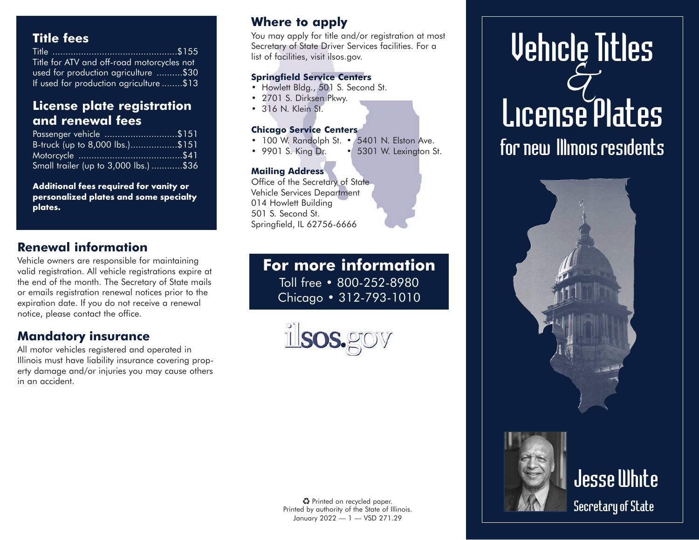## **Title fees**

| Title for ATV and off-road motorcycles not |
|--------------------------------------------|
| used for production agriculture \$30       |
| If used for production agriculture \$13    |

### **License plate registration and renewal fees**

| Passenger vehicle \$151               |  |
|---------------------------------------|--|
| B-truck (up to 8,000 lbs.)\$151       |  |
|                                       |  |
| Small trailer (up to 3,000 lbs.) \$36 |  |

**Additional fees required for vanity or personalized plates and some specialty plates.**

# **Renewal information**

Vehicle owners are responsible for maintaining valid registration. All vehicle registrations expire at the end of the month. The Secretary of State mails or emails registration renewal notices prior to the expiration date. If you do not receive a renewal notice, please contact the office.

## **Mandatory insurance**

All motor vehicles registered and operated in Illinois must have liability insurance covering property damage and/or injuries you may cause others in an accident.

# **Where to apply**

You may apply for title and/or registration at most Secretary of State Driver Services facilities. For a list of facilities, visit ilsos.gov.

#### **Springfield Service Centers**

- Howlett Bldg., 501 S. Second St.
- 2701 S. Dirksen Pkwy.
- 316 N. Klein St.

#### **Chicago Service Centers**

- 100 W. Randolph St. 5401 N. Elston Ave.
- 9901 S. King Dr. 5301 W. Lexington St.

#### **Mailing Address**

Office of the Secretary of State Vehicle Services Department 014 Howlett Building 501 S. Second St. Springfield, IL 62756-6666

> **For more information**  Toll free • 800-252-8980 Chicago • 312-793-1010



*&* Vehicle Titles License Plates for new Illinois residents





# Jesse White Secretary of State

♻ Printed on recycled paper. Printed by authority of the State of Illinois. January 2022 — 1 — VSD 271.29